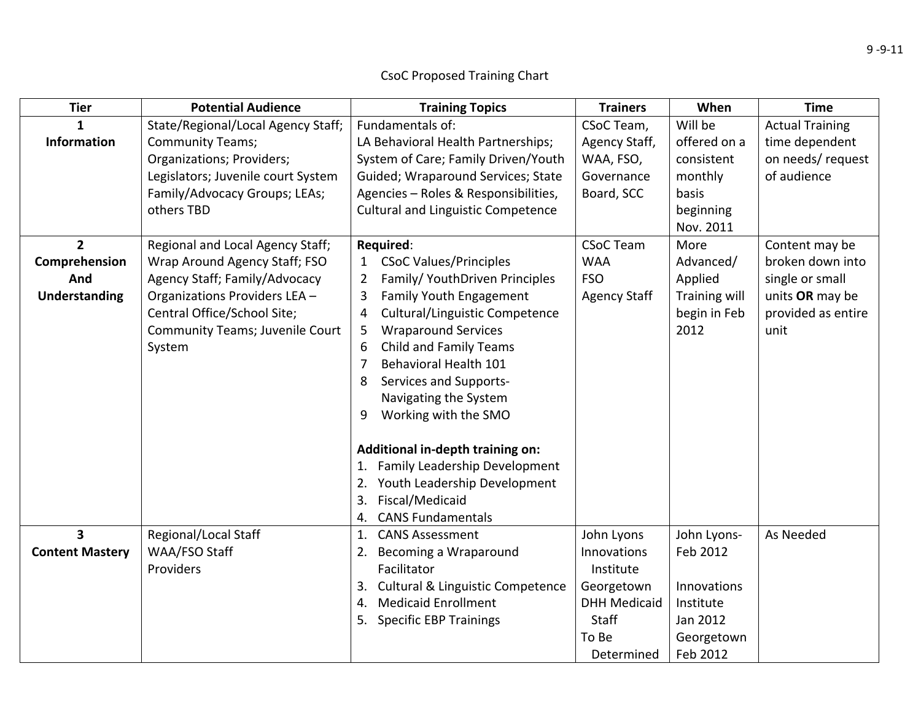## **Tier Potential Audience Training Topics Trainers When Time 1Information**State/Regional/Local Agency Staff; Community Teams; Organizations; Providers; Legislators; Juvenile court System Family/Advocacy Groups; LEAs; others TBDFundamentals of: LA Behavioral Health Partnerships; System of Care; Family Driven/Youth Guided; Wraparound Services; State Agencies – Roles & Responsibilities, Cultural and Linguistic Competence CSoC Team, Agency Staff, WAA, FSO, GovernanceBoard, SCC Will beoffered on a consistentmonthly basisbeginning Nov. 2011Actual Training time dependent on needs/ request of audience**2Comprehension AndUnderstanding** Regional and Local Agency Staff; Wrap Around Agency Staff; FSO Agency Staff; Family/Advocacy Organizations Providers LEA – Central Office/School Site; Community Teams; Juvenile Court System **Required**: 1 CSoC Values/Principles 2 Family/ YouthDriven Principles 3 Family Youth Engagement 4 Cultural/Linguistic Competence 5 Wraparound Services 6 Child and Family Teams 7 Behavioral Health 101 8 Services and Supports‐ Navigating the System 9 Working with the SMO **Additional in‐depth training on:** 1. Family Leadership Development 2. Youth Leadership Development 3. Fiscal/Medicaid 4. CANS Fundamentals CSoC TeamWAAFSOAgency Staff MoreAdvanced/ Applied Training will begin in Feb 2012Content may be broken down intosingle or small units **OR** may be provided as entire unit**3Content Mastery** Regional/Local Staff WAA/FSO Staff Providers1. CANS Assessment 2. Becoming <sup>a</sup> Wraparound Facilitator3. Cultural & Linguistic Competence 4. Medicaid Enrollment 5. Specific EBP Trainings John Lyons InnovationsInstituteGeorgetown DHH Medicaid **Staff** To Be DeterminedJohn Lyons‐ Feb 2012 InnovationsInstituteJan 2012 Georgetown Feb 2012 As Needed

## CsoC Proposed Training Chart